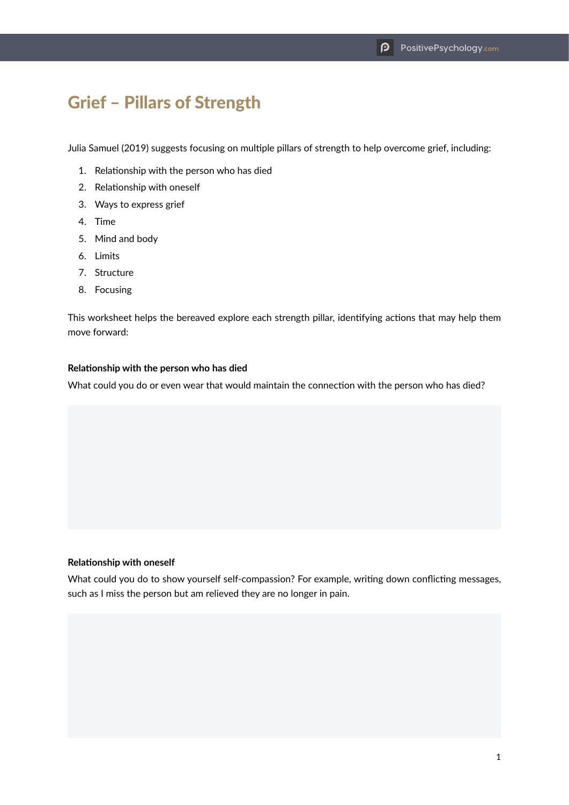# Grief – Pillars of Strength

Julia Samuel (2019) suggests focusing on multiple pillars of strength to help overcome grief, including:

- 1. Relationship with the person who has died
- 2. Relationship with oneself
- 3. Ways to express grief
- 4. Time
- 5. Mind and body
- 6. Limits
- 7. Structure
- 8. Focusing

This worksheet helps the bereaved explore each strength pillar, identifying actions that may help them move forward:

#### **Relationship with the person who has died**

What could you do or even wear that would maintain the connection with the person who has died?

## **Relationship with oneself**

What could you do to show yourself self-compassion? For example, writing down conflicting messages, such as I miss the person but am relieved they are no longer in pain.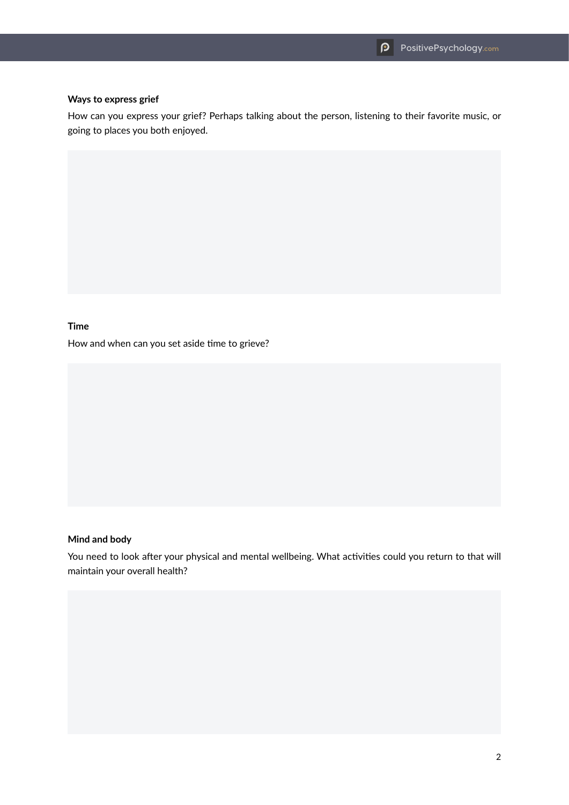### **Ways to express grief**

How can you express your grief? Perhaps talking about the person, listening to their favorite music, or going to places you both enjoyed.

## **Time**

How and when can you set aside time to grieve?

### **Mind and body**

You need to look after your physical and mental wellbeing. What activities could you return to that will maintain your overall health?